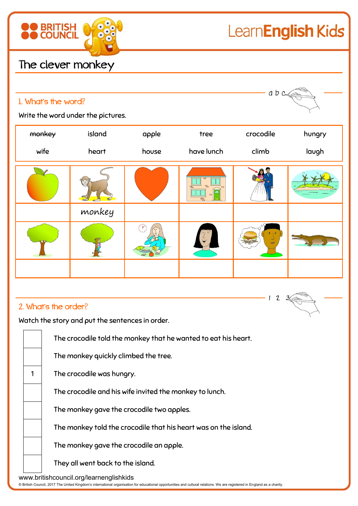

## LearnEnglish Kids

## The clever monkey

| $a b c \sqrt{2}$ |
|------------------|
|                  |

Write the word under the pictures.

1. What's the word?

| monkey | island | apple | tree                     | crocodile | hungry |
|--------|--------|-------|--------------------------|-----------|--------|
| wife   | heart  | house | have lunch               | climb     | laugh  |
|        |        |       | $\Box$<br>$\overline{P}$ |           |        |
|        | monkey |       |                          |           |        |
|        |        |       |                          |           |        |
|        |        |       |                          |           |        |

## 2. What's the order?

Watch the story and put the sentences in order.

The crocodile told the monkey that he wanted to eat his heart.

The monkey quickly climbed the tree.

1 The crocodile was hungry.

The crocodile and his wife invited the monkey to lunch.

The monkey gave the crocodile two apples.

The monkey told the crocodile that his heart was on the island.

The monkey gave the crocodile an apple.

They all went back to the island.

www.britishcouncil.org/learnenglishkids

© British Council, 2017 The United Kingdom's international organisation for educational opportunities and cultural relations. We are registered in England as a charity.